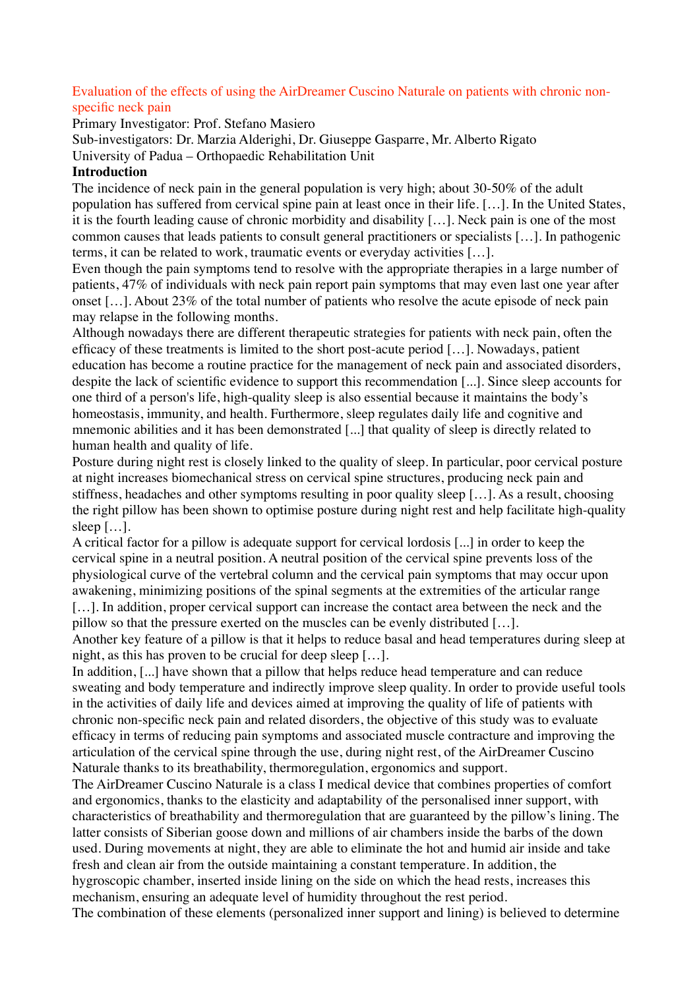# Evaluation of the effects of using the AirDreamer Cuscino Naturale on patients with chronic nonspecific neck pain

Primary Investigator: Prof. Stefano Masiero

Sub-investigators: Dr. Marzia Alderighi, Dr. Giuseppe Gasparre, Mr. Alberto Rigato University of Padua – Orthopaedic Rehabilitation Unit

### **Introduction**

The incidence of neck pain in the general population is very high; about 30-50% of the adult population has suffered from cervical spine pain at least once in their life. […]. In the United States, it is the fourth leading cause of chronic morbidity and disability […]. Neck pain is one of the most common causes that leads patients to consult general practitioners or specialists […]. In pathogenic terms, it can be related to work, traumatic events or everyday activities […].

Even though the pain symptoms tend to resolve with the appropriate therapies in a large number of patients, 47% of individuals with neck pain report pain symptoms that may even last one year after onset […]. About 23% of the total number of patients who resolve the acute episode of neck pain may relapse in the following months.

Although nowadays there are different therapeutic strategies for patients with neck pain, often the efficacy of these treatments is limited to the short post-acute period […]. Nowadays, patient education has become a routine practice for the management of neck pain and associated disorders, despite the lack of scientific evidence to support this recommendation [...]. Since sleep accounts for one third of a person's life, high-quality sleep is also essential because it maintains the body's homeostasis, immunity, and health. Furthermore, sleep regulates daily life and cognitive and mnemonic abilities and it has been demonstrated [...] that quality of sleep is directly related to human health and quality of life.

Posture during night rest is closely linked to the quality of sleep. In particular, poor cervical posture at night increases biomechanical stress on cervical spine structures, producing neck pain and stiffness, headaches and other symptoms resulting in poor quality sleep […]. As a result, choosing the right pillow has been shown to optimise posture during night rest and help facilitate high-quality sleep […].

A critical factor for a pillow is adequate support for cervical lordosis [...] in order to keep the cervical spine in a neutral position. A neutral position of the cervical spine prevents loss of the physiological curve of the vertebral column and the cervical pain symptoms that may occur upon awakening, minimizing positions of the spinal segments at the extremities of the articular range [...]. In addition, proper cervical support can increase the contact area between the neck and the

pillow so that the pressure exerted on the muscles can be evenly distributed […].

Another key feature of a pillow is that it helps to reduce basal and head temperatures during sleep at night, as this has proven to be crucial for deep sleep […].

In addition, [...] have shown that a pillow that helps reduce head temperature and can reduce sweating and body temperature and indirectly improve sleep quality. In order to provide useful tools in the activities of daily life and devices aimed at improving the quality of life of patients with chronic non-specific neck pain and related disorders, the objective of this study was to evaluate efficacy in terms of reducing pain symptoms and associated muscle contracture and improving the articulation of the cervical spine through the use, during night rest, of the AirDreamer Cuscino Naturale thanks to its breathability, thermoregulation, ergonomics and support.

The AirDreamer Cuscino Naturale is a class I medical device that combines properties of comfort and ergonomics, thanks to the elasticity and adaptability of the personalised inner support, with characteristics of breathability and thermoregulation that are guaranteed by the pillow's lining. The latter consists of Siberian goose down and millions of air chambers inside the barbs of the down used. During movements at night, they are able to eliminate the hot and humid air inside and take fresh and clean air from the outside maintaining a constant temperature. In addition, the hygroscopic chamber, inserted inside lining on the side on which the head rests, increases this mechanism, ensuring an adequate level of humidity throughout the rest period.

The combination of these elements (personalized inner support and lining) is believed to determine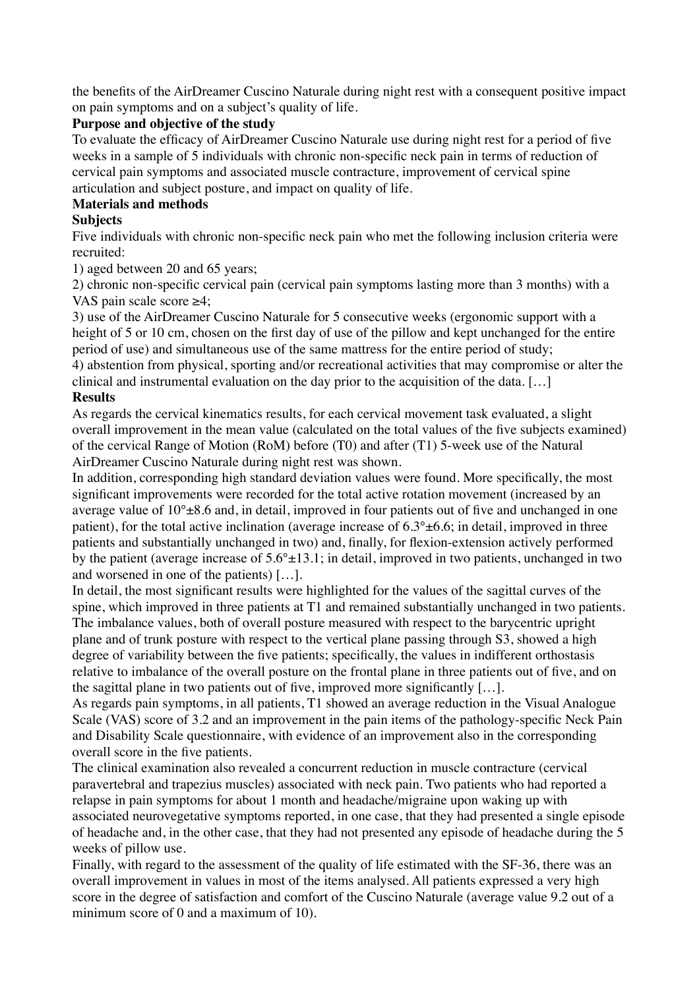the benefits of the AirDreamer Cuscino Naturale during night rest with a consequent positive impact on pain symptoms and on a subject's quality of life.

# **Purpose and objective of the study**

To evaluate the efficacy of AirDreamer Cuscino Naturale use during night rest for a period of five weeks in a sample of 5 individuals with chronic non-specific neck pain in terms of reduction of cervical pain symptoms and associated muscle contracture, improvement of cervical spine articulation and subject posture, and impact on quality of life.

# **Materials and methods**

# **Subjects**

Five individuals with chronic non-specific neck pain who met the following inclusion criteria were recruited:

1) aged between 20 and 65 years;

2) chronic non-specific cervical pain (cervical pain symptoms lasting more than 3 months) with a VAS pain scale score ≥4;

3) use of the AirDreamer Cuscino Naturale for 5 consecutive weeks (ergonomic support with a height of 5 or 10 cm, chosen on the first day of use of the pillow and kept unchanged for the entire period of use) and simultaneous use of the same mattress for the entire period of study;

4) abstention from physical, sporting and/or recreational activities that may compromise or alter the clinical and instrumental evaluation on the day prior to the acquisition of the data. […]

# **Results**

As regards the cervical kinematics results, for each cervical movement task evaluated, a slight overall improvement in the mean value (calculated on the total values of the five subjects examined) of the cervical Range of Motion (RoM) before (T0) and after (T1) 5-week use of the Natural AirDreamer Cuscino Naturale during night rest was shown.

In addition, corresponding high standard deviation values were found. More specifically, the most significant improvements were recorded for the total active rotation movement (increased by an average value of  $10^{\circ}$ ±8.6 and, in detail, improved in four patients out of five and unchanged in one patient), for the total active inclination (average increase of  $6.3^{\circ} \pm 6.6$ ; in detail, improved in three patients and substantially unchanged in two) and, finally, for flexion-extension actively performed by the patient (average increase of  $5.6^{\circ} \pm 13.1$ ; in detail, improved in two patients, unchanged in two and worsened in one of the patients) […].

In detail, the most significant results were highlighted for the values of the sagittal curves of the spine, which improved in three patients at T1 and remained substantially unchanged in two patients. The imbalance values, both of overall posture measured with respect to the barycentric upright plane and of trunk posture with respect to the vertical plane passing through S3, showed a high degree of variability between the five patients; specifically, the values in indifferent orthostasis relative to imbalance of the overall posture on the frontal plane in three patients out of five, and on the sagittal plane in two patients out of five, improved more significantly  $[\dots]$ .

As regards pain symptoms, in all patients, T1 showed an average reduction in the Visual Analogue Scale (VAS) score of 3.2 and an improvement in the pain items of the pathology-specific Neck Pain and Disability Scale questionnaire, with evidence of an improvement also in the corresponding overall score in the five patients.

The clinical examination also revealed a concurrent reduction in muscle contracture (cervical paravertebral and trapezius muscles) associated with neck pain. Two patients who had reported a relapse in pain symptoms for about 1 month and headache/migraine upon waking up with associated neurovegetative symptoms reported, in one case, that they had presented a single episode of headache and, in the other case, that they had not presented any episode of headache during the 5 weeks of pillow use.

Finally, with regard to the assessment of the quality of life estimated with the SF-36, there was an overall improvement in values in most of the items analysed. All patients expressed a very high score in the degree of satisfaction and comfort of the Cuscino Naturale (average value 9.2 out of a minimum score of 0 and a maximum of 10).